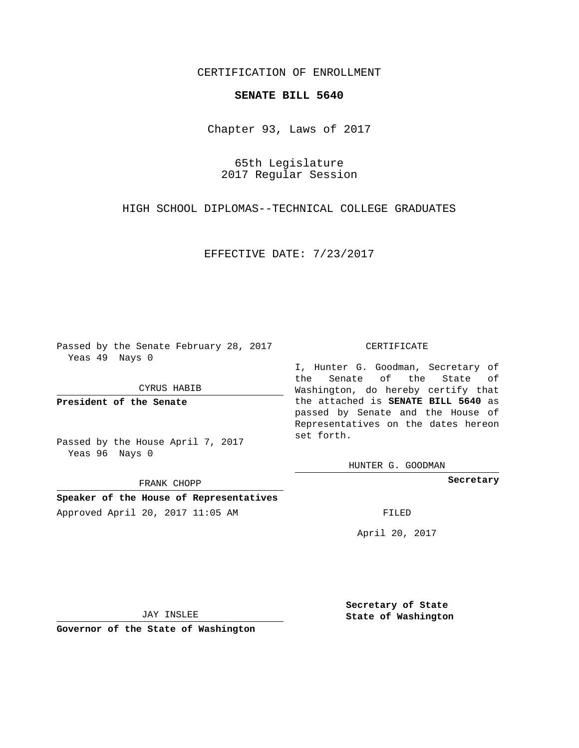## CERTIFICATION OF ENROLLMENT

## **SENATE BILL 5640**

Chapter 93, Laws of 2017

65th Legislature 2017 Regular Session

HIGH SCHOOL DIPLOMAS--TECHNICAL COLLEGE GRADUATES

EFFECTIVE DATE: 7/23/2017

Passed by the Senate February 28, 2017 Yeas 49 Nays 0

CYRUS HABIB

**President of the Senate**

Passed by the House April 7, 2017 Yeas 96 Nays 0

FRANK CHOPP

**Speaker of the House of Representatives** Approved April 20, 2017 11:05 AM FILED

## CERTIFICATE

I, Hunter G. Goodman, Secretary of the Senate of the State of Washington, do hereby certify that the attached is **SENATE BILL 5640** as passed by Senate and the House of Representatives on the dates hereon set forth.

HUNTER G. GOODMAN

**Secretary**

April 20, 2017

JAY INSLEE

**Governor of the State of Washington**

**Secretary of State State of Washington**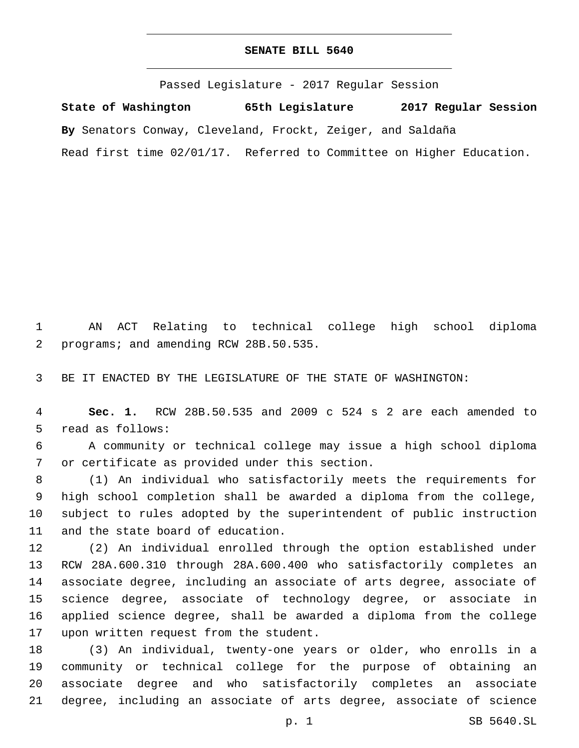## **SENATE BILL 5640**

Passed Legislature - 2017 Regular Session

**State of Washington 65th Legislature 2017 Regular Session By** Senators Conway, Cleveland, Frockt, Zeiger, and Saldaña Read first time 02/01/17. Referred to Committee on Higher Education.

1 AN ACT Relating to technical college high school diploma 2 programs; and amending RCW 28B.50.535.

3 BE IT ENACTED BY THE LEGISLATURE OF THE STATE OF WASHINGTON:

4 **Sec. 1.** RCW 28B.50.535 and 2009 c 524 s 2 are each amended to 5 read as follows:

6 A community or technical college may issue a high school diploma 7 or certificate as provided under this section.

 (1) An individual who satisfactorily meets the requirements for high school completion shall be awarded a diploma from the college, subject to rules adopted by the superintendent of public instruction 11 and the state board of education.

 (2) An individual enrolled through the option established under RCW 28A.600.310 through 28A.600.400 who satisfactorily completes an associate degree, including an associate of arts degree, associate of science degree, associate of technology degree, or associate in applied science degree, shall be awarded a diploma from the college 17 upon written request from the student.

 (3) An individual, twenty-one years or older, who enrolls in a community or technical college for the purpose of obtaining an associate degree and who satisfactorily completes an associate degree, including an associate of arts degree, associate of science